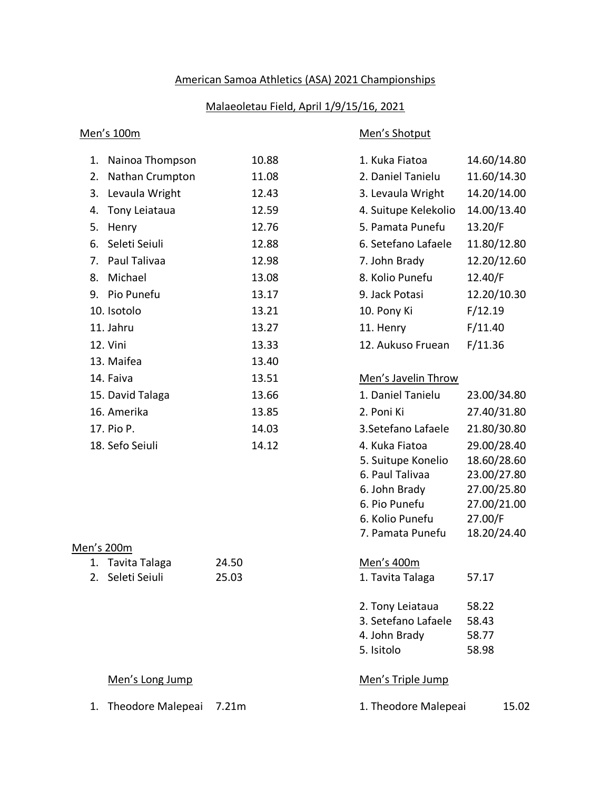# American Samoa Athletics (ASA) 2021 Championships

## Malaeoletau Field, April 1/9/15/16, 2021

### Men's 100m Men's Shotput

|    | 1. Nainoa Thompson | 10.88 | 1. Kuka Fiatoa       | 14.60/14.80 |
|----|--------------------|-------|----------------------|-------------|
|    | 2. Nathan Crumpton | 11.08 | 2. Daniel Tanielu    | 11.60/14.30 |
|    | 3. Levaula Wright  | 12.43 | 3. Levaula Wright    | 14.20/14.00 |
|    | 4. Tony Leiataua   | 12.59 | 4. Suitupe Kelekolio | 14.00/13.40 |
| 5. | Henry              | 12.76 | 5. Pamata Punefu     | 13.20/F     |
|    | 6. Seleti Seiuli   | 12.88 | 6. Setefano Lafaele  | 11.80/12.80 |
|    | 7. Paul Talivaa    | 12.98 | 7. John Brady        | 12.20/12.60 |
|    | 8. Michael         | 13.08 | 8. Kolio Punefu      | 12.40/F     |
|    | 9. Pio Punefu      | 13.17 | 9. Jack Potasi       | 12.20/10.30 |
|    | 10. Isotolo        | 13.21 | 10. Pony Ki          | F/12.19     |
|    | 11. Jahru          | 13.27 | 11. Henry            | F/11.40     |
|    | 12. Vini           | 13.33 | 12. Aukuso Fruean    | F/11.36     |
|    | 13. Maifea         | 13.40 |                      |             |
|    | 14. Faiva          | 13.51 | Men's Javelin Throw  |             |
|    | 15. David Talaga   | 13.66 | 1. Daniel Tanielu    | 23.00/34.80 |
|    | 16. Amerika        | 13.85 | 2. Poni Ki           | 27.40/31.80 |
|    | 17. Pio P.         | 14.03 | 3. Setefano Lafaele  | 21.80/30.80 |
|    | 18. Sefo Seiuli    | 14.12 | 4. Kuka Fiatoa       | 29.00/28.40 |

### Men's 200m

| 1. Tavita Talaga | 24.50 |
|------------------|-------|
| 2. Seleti Seiuli | 25.03 |

| 2. Daniel Tanielu    | 11.60/14.30 |
|----------------------|-------------|
| 3. Levaula Wright    | 14.20/14.00 |
| 4. Suitupe Kelekolio | 14.00/13.40 |
| 5. Pamata Punefu     | 13.20/F     |
| 6. Setefano Lafaele  | 11.80/12.80 |
| 7. John Brady        | 12.20/12.60 |
| 8. Kolio Punefu      | 12.40/F     |
| 9. Jack Potasi       | 12.20/10.30 |
| 10. Pony Ki          | F/12.19     |
| 11. Henry            | F/11.40     |
| 12. Aukuso Fruean    | F/11.36     |

# Men's Javelin Throw

| 1. Daniel Tanielu   | 23.00/34.80 |
|---------------------|-------------|
| 2. Poni Ki          | 27.40/31.80 |
| 3. Setefano Lafaele | 21.80/30.80 |
| 4. Kuka Fiatoa      | 29.00/28.40 |
| 5. Suitupe Konelio  | 18.60/28.60 |
| 6. Paul Talivaa     | 23.00/27.80 |
| 6. John Brady       | 27.00/25.80 |
| 6. Pio Punefu       | 27.00/21.00 |
| 6. Kolio Punefu     | 27.00/F     |
| 7. Pamata Punefu    | 18.20/24.40 |

### Men's 400m

1. Tavita Talaga 57.17

| 2. Tony Leiataua    | 58.22 |
|---------------------|-------|
| 3. Setefano Lafaele | 58.43 |
| 4. John Brady       | 58.77 |
| 5. Isitolo          | 58.98 |

### Men's Long Jump Men's Triple Jump

1. Theodore Malepeai 7.21m 1. Theodore Malepeai 15.02

|  |  |  | 1. Theodore Malepeai | 15.02 |  |
|--|--|--|----------------------|-------|--|
|--|--|--|----------------------|-------|--|